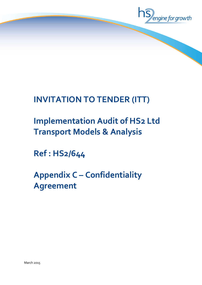

# **INVITATION TO TENDER (ITT)**

# **Implementation Audit of HS2 Ltd Transport Models & Analysis**

**Ref : HS2/644**

**Appendix C – Confidentiality Agreement**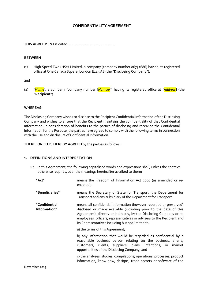## **CONFIDENTIALITY AGREEMENT**

**THIS AGREEMENT** is dated ………………………………………..

## **BETWEEN**

(1) High Speed Two (HS2) Limited, a company (company number 06791686) having its registered office at One Canada Square, London E14 5AB (the "**Disclosing Company**"),

and

(2) [*Name*], a company (company number [*Number*]) having its registered office at [*Address*] (the "**Recipient**").

#### **WHEREAS**:

The Disclosing Company wishes to disclose to the Recipient Confidential Information of the Disclosing Company and wishes to ensure that the Recipient maintains the confidentiality of that Confidential Information. In consideration of benefits to the parties of disclosing and receiving the Confidential Information for the Purpose, the parties have agreed to comply with the following terms in connection with the use and disclosure of Confidential Information.

**THEREFORE IT IS HEREBY AGREED** by the parties as follows:

#### **1. DEFINITIONS AND INTERPRETATION**

1.1. In this Agreement, the following capitalised words and expressions shall, unless the context otherwise requires, bear the meanings hereinafter ascribed to them:

| "Act"                         | means the Freedom of Information Act 2000 (as amended or re-<br>enacted);                                                                                                                                                                                                                                                                    |
|-------------------------------|----------------------------------------------------------------------------------------------------------------------------------------------------------------------------------------------------------------------------------------------------------------------------------------------------------------------------------------------|
| "Beneficiaries"               | means the Secretary of State for Transport, the Department for<br>Transport and any subsidiary of the Department for Transport;                                                                                                                                                                                                              |
| "Confidential<br>Information" | means all confidential information (however recorded or preserved)<br>disclosed or made available (including prior to the date of this<br>Agreement), directly or indirectly, by the Disclosing Company or its<br>employees, officers, representatives or advisers to the Recipient and<br>its Representatives including but not limited to: |
|                               | a) the terms of this Agreement;                                                                                                                                                                                                                                                                                                              |
|                               | b) any information that would be regarded as confidential by a<br>reasonable business person relating to: the business, affairs,<br>customers, clients, suppliers, plans, intentions, or market<br>opportunities of the Disclosing Company; and                                                                                              |
|                               | c) the analyses, studies, compilations, operations, processes, product<br>information, know-how, designs, trade secrets or software of the                                                                                                                                                                                                   |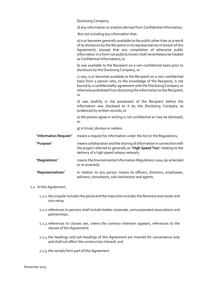Disclosing Company;

d) any information or analysis derived from Confidential Information;

But not including any information that:

a) is or becomes generally available to the public other than as a result of its disclosure by the Recipient or its representatives in breach of this Agreement), (except that any compilation of otherwise public information in a form not publicly known shall nevertheless be treated as Confidential Information); or

b) was available to the Recipient on a non-confidential basis prior to disclosure by the Disclosing Company; or

c) was, is or becomes available to the Recipient on a non-confidential basis from a person who, to the knowledge of the Recipient, is not bound by a confidentiality agreement with the Disclosing Company or otherwise prohibited from disclosing the information to the Recipient; or

d) was lawfully in the possession of the Recipient before the information was disclosed to it by the Disclosing Company as evidenced by written records; or

e) the parties agree in writing is not confidential or may be disclosed; or

g) is trivial, obvious or useless.

- "**Information Request**" means a request for information under the Act or the Regulations;
- "**Purpose**" means collaboration and the sharing of information in connection with the project referred to generally as "**High Speed Two**" relating to the delivery of a high speed railway network;
- "**Regulations**" means the Environmental Information Regulations 2004 (as amended or re-enacted);
- "**Representatives**" in relation to any person means its officers, directors, employees, advisors, consultants, sub-contractors and agents.

#### 1.2. In this Agreement :

- 1.2.1.the singular includes the plural and the masculine includes the feminine and neuter and vice versa;
- 1.2.2.references to persons shall include bodies corporate, unincorporated associations and partnerships;
- 1.2.3.references to clauses are, unless the contrary intention appears, references to the clauses of this Agreement;
- 1.2.4.the headings and sub-headings of this Agreement are inserted for convenience only and shall not affect the construction thereof; and
- 1.2.5.the recitals form part of this Agreement.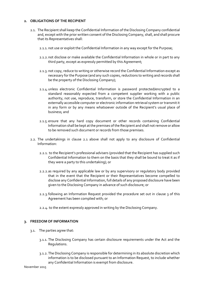## **2. OBLIGATIONS OF THE RECIPIENT**

- 2.1. The Recipient shall keep the Confidential Information of the Disclosing Company confidential and, except with the prior written consent of the Disclosing Company, shall, and shall procure that its Representatives shall:
	- 2.1.1. not use or exploit the Confidential Information in any way except for the Purpose;
	- 2.1.2.not disclose or make available the Confidential Information in whole or in part to any third party, except as expressly permitted by this Agreement;
	- 2.1.3. not copy, reduce to writing or otherwise record the Confidential Information except as necessary for the Purpose (and any such copies, reductions to writing and records shall be the property of the Disclosing Company);
	- 2.1.4.unless electronic Confidential Information is password protected/encrypted to a standard reasonably expected from a competent supplier working with a public authority, not use, reproduce, transform, or store the Confidential Information in an externally accessible computer or electronic information retrieval system or transmit it in any form or by any means whatsoever outside of the Recipient's usual place of business; and
	- 2.1.5.ensure that any hard copy document or other records containing Confidential Information shall be kept at the premises of the Recipient and shall not remove or allow to be removed such document or records from those premises.
- 2.2. The undertakings in clause 2.1 above shall not apply to any disclosure of Confidential Information:
	- 2.2.1. to the Recipient's professional advisers (provided that the Recipient has supplied such Confidential Information to them on the basis that they shall be bound to treat it as if they were a party to this undertaking); or
	- 2.2.2.as required by any applicable law or by any supervisory or regulatory body provided that in the event that the Recipient or their Representatives become compelled to disclose any Confidential Information, full details of any proposed disclosure have been given to the Disclosing Company in advance of such disclosure; or
	- 2.2.3.following an Information Request provided the procedure set out in clause 3 of this Agreement has been complied with; or
	- 2.2.4. to the extent expressly approved in writing by the Disclosing Company.

## **3. FREEDOM OF INFORMATION**

- 3.1. The parties agree that:
	- 3.1.1. The Disclosing Company has certain disclosure requirements under the Act and the Regulations.
	- 3.1.2.The Disclosing Company is responsible for determining in its absolute discretion which information is to be disclosed pursuant to an Information Request, to include whether any Confidential Information is exempt from disclosure.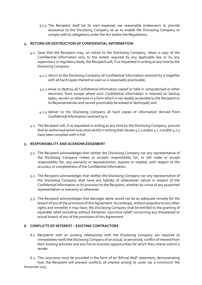3.1.3. The Recipient shall (at its own expense) use reasonable endeavours to provide assistance to the Disclosing Company so as to enable the Disclosing Company to comply with its obligations under the Act and/or the Regulations.

## **4. RETURN OR DESTRUCTION OF CONFIDENTIAL INFORMATION**

- 4.1. Save that the Recipient may, on notice to the Disclosing Company, retain a copy of the Confidential Information only to the extent required by any applicable law or by any supervisory or regulatory body, the Recipient will, if so requested in writing at any time by the Disclosing Company:
	- 4.1.1.return to the Disclosing Company all Confidential Information received by it together with all hard copies thereof as soon as is reasonably practicable;
	- 4.1.2.erase or destroy all Confidential Information copied or held in computerised or other electronic form except where such Confidential Information is retained on backup tapes, servers or otherwise in a form which is not readily accessible to the Recipient or its Representatives and cannot practicably be erased or destroyed; and
	- 4.1.3.deliver to the Disclosing Company all hard copies of information derived from Confidential Information received by it.
- 4.2. The Recipient will, if so requested in writing at any time by the Disclosing Company, procure that an authorised senior executive certify in writing that clauses 4.1.1 and/or 4.1.2 and/or 4.1.3 have been complied with in full.

## **5. RESPONSIBILITY AND ACKNOWLEDGEMENT**

- 5.1. The Recipient acknowledges that neither the Disclosing Company nor any representative of the Disclosing Company makes or accepts responsibility for, or will make or accept responsibility for, any warranty or representation, express or implied, with respect to the accuracy or completeness of the Confidential Information.
- 5.2. The Recipient acknowledges that neither the Disclosing Company nor any representative of the Disclosing Company shall have any liability of whatsoever nature in respect of the Confidential Information or its provision to the Recipient, whether by virtue of any purported representation or warranty or otherwise.
- 5.3. The Recipient acknowledges that damages alone would not be an adequate remedy for the breach of any of the provisions of this Agreement. Accordingly, without prejudice to any other rights and remedies it may have, the Disclosing Company shall be entitled to the granting of equitable relief (including without limitation injunctive relief) concerning any threatened or actual breach of any of the provisions of this Agreement.

## **6. CONFLICTS OF INTEREST – EXISTING CONTRACTORS**

6.1. Recipients with an existing relationship with the Disclosing Company are required to immediately notify the Disclosing Company of an actual, or perceived, conflict of interest from their existing activities and any future business opportunities for which they intend submit a tender.

November 2015 6.2. This assurance must be provided in the form of an 'Ethical Wall' statement, demonstrating how the Recipient will prevent conflicts of interest arising to cover (as a minimum) the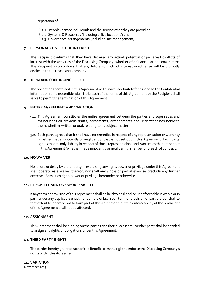separation of:

- 6.2.1. People (named individuals and the services that they are providing);
- 6.2.2. Systems & Resources (including office locations); and
- 6.2.3. Governance Arrangements (including line management).

## **7. PERSONAL CONFLICT OF INTEREST**

The Recipient confirms that they have declared any actual, potential or perceived conflicts of interest with the activities of the Disclosing Company, whether of a financial or personal nature. The Recipient also confirms that any future conflicts of interest which arise will be promptly disclosed to the Disclosing Company.

## **8. TERM AND CONTINUING EFFECT**

The obligations contained in this Agreement will survive indefinitely for as long as the Confidential Information remains confidential. No breach of the terms of this Agreement by the Recipient shall serve to permit the termination of this Agreement.

## **9. ENTIRE AGREEMENT AND VARIATION**

- 9.1. This Agreement constitutes the entire agreement between the parties and supersedes and extinguishes all previous drafts, agreements, arrangements and understandings between them, whether written or oral, relating to its subject matter.
- 9.2. Each party agrees that it shall have no remedies in respect of any representation or warranty (whether made innocently or negligently) that is not set out in this Agreement. Each party agrees that its only liability in respect of those representations and warranties that are set out in this Agreement (whether made innocently or negligently) shall be for breach of contract.

#### **10. NO WAIVER**

No failure or delay by either party in exercising any right, power or privilege under this Agreement shall operate as a waiver thereof, nor shall any single or partial exercise preclude any further exercise of any such right, power or privilege hereunder or otherwise.

## **11. ILLEGALITY AND UNENFORCEABILITY**

If any term or provision of this Agreement shall be held to be illegal or unenforceable in whole or in part, under any applicable enactment or rule of law, such term or provision or part thereof shall to that extent be deemed not to form part of this Agreement, but the enforceability of the remainder of this Agreement shall not be affected.

### **12. ASSIGNMENT**

This Agreement shall be binding on the parties and their successors. Neither party shall be entitled to assign any rights or obligations under this Agreement.

#### **13. THIRD PARTY RIGHTS**

The parties hereby grant to each of the Beneficiaries the right to enforce the Disclosing Company's rights under this Agreement.

November 2015 **14. VARIATION**